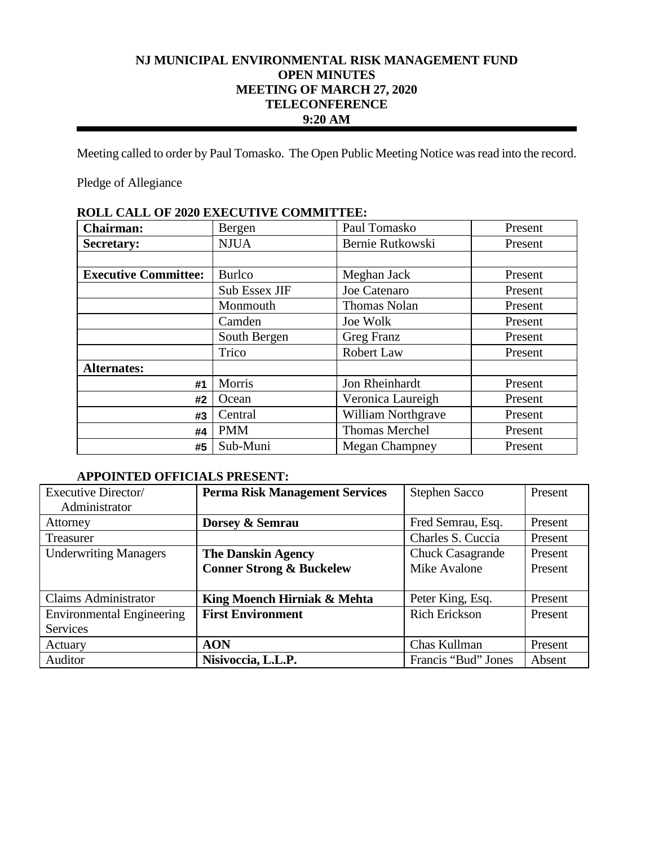# **NJ MUNICIPAL ENVIRONMENTAL RISK MANAGEMENT FUND OPEN MINUTES MEETING OF MARCH 27, 2020 TELECONFERENCE 9:20 AM**

Meeting called to order by Paul Tomasko. The Open Public Meeting Notice was read into the record.

Pledge of Allegiance

| КОПР САПР ОТ 2020 ЕАРССТГУР СОММИТТЕР. |               |                           |         |
|----------------------------------------|---------------|---------------------------|---------|
| <b>Chairman:</b>                       | Bergen        | Paul Tomasko              | Present |
| <b>Secretary:</b>                      | <b>NJUA</b>   | Bernie Rutkowski          | Present |
|                                        |               |                           |         |
| <b>Executive Committee:</b>            | <b>Burlco</b> | Meghan Jack               | Present |
|                                        | Sub Essex JIF | Joe Catenaro              | Present |
|                                        | Monmouth      | <b>Thomas Nolan</b>       | Present |
|                                        | Camden        | Joe Wolk                  | Present |
|                                        | South Bergen  | Greg Franz                | Present |
|                                        | Trico         | Robert Law                | Present |
| <b>Alternates:</b>                     |               |                           |         |
| #1                                     | Morris        | Jon Rheinhardt            | Present |
| #2                                     | Ocean         | Veronica Laureigh         | Present |
| #3                                     | Central       | <b>William Northgrave</b> | Present |
| #4                                     | <b>PMM</b>    | Thomas Merchel            | Present |
| #5                                     | Sub-Muni      | <b>Megan Champney</b>     | Present |

# **ROLL CALL OF 2020 EXECUTIVE COMMITTEE:**

# **APPOINTED OFFICIALS PRESENT:**

| Executive Director/              | <b>Perma Risk Management Services</b> | <b>Stephen Sacco</b>    | Present |
|----------------------------------|---------------------------------------|-------------------------|---------|
| Administrator                    |                                       |                         |         |
| Attorney                         | Dorsey & Semrau                       | Fred Semrau, Esq.       | Present |
| <b>Treasurer</b>                 |                                       | Charles S. Cuccia       | Present |
| <b>Underwriting Managers</b>     | <b>The Danskin Agency</b>             | <b>Chuck Casagrande</b> | Present |
|                                  | <b>Conner Strong &amp; Buckelew</b>   | Mike Avalone            | Present |
|                                  |                                       |                         |         |
| <b>Claims Administrator</b>      | King Moench Hirniak & Mehta           | Peter King, Esq.        | Present |
| <b>Environmental Engineering</b> | <b>First Environment</b>              | <b>Rich Erickson</b>    | Present |
| <b>Services</b>                  |                                       |                         |         |
| Actuary                          | <b>AON</b>                            | Chas Kullman            | Present |
| Auditor                          | Nisivoccia, L.L.P.                    | Francis "Bud" Jones     | Absent  |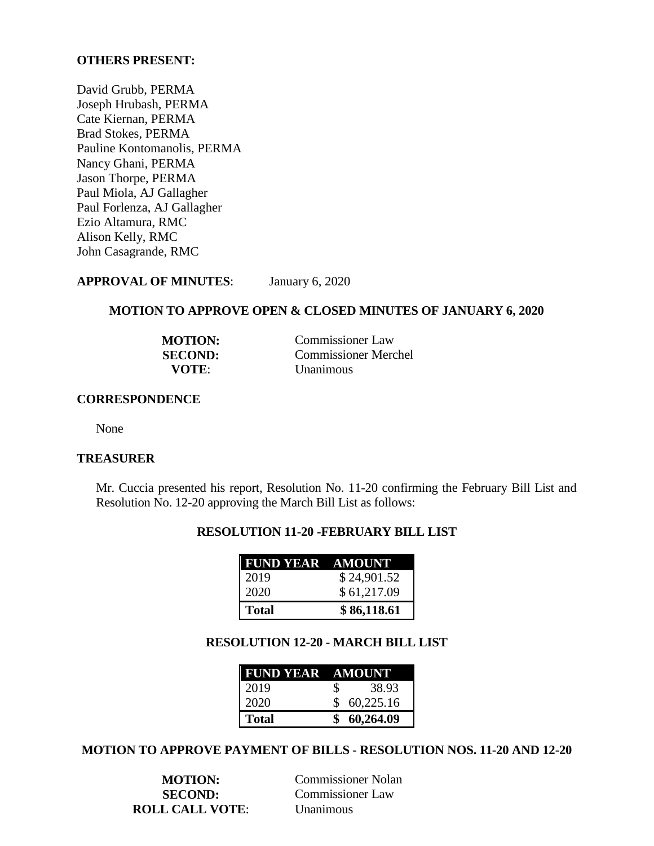### **OTHERS PRESENT:**

David Grubb, PERMA Joseph Hrubash, PERMA Cate Kiernan, PERMA Brad Stokes, PERMA Pauline Kontomanolis, PERMA Nancy Ghani, PERMA Jason Thorpe, PERMA Paul Miola, AJ Gallagher Paul Forlenza, AJ Gallagher Ezio Altamura, RMC Alison Kelly, RMC John Casagrande, RMC

**APPROVAL OF MINUTES**: January 6, 2020

### **MOTION TO APPROVE OPEN & CLOSED MINUTES OF JANUARY 6, 2020**

| <b>MOTION:</b> | <b>Commissioner Law</b>     |
|----------------|-----------------------------|
| <b>SECOND:</b> | <b>Commissioner Merchel</b> |
| <b>VOTE:</b>   | <b>Unanimous</b>            |

#### **CORRESPONDENCE**

None

### **TREASURER**

Mr. Cuccia presented his report, Resolution No. 11-20 confirming the February Bill List and Resolution No. 12-20 approving the March Bill List as follows:

# **RESOLUTION 11-20 -FEBRUARY BILL LIST**

| <b>FUND YEAR AMOUNT</b> |             |
|-------------------------|-------------|
| 2019                    | \$24,901.52 |
| 2020                    | \$61,217.09 |
| <b>Total</b>            | \$86,118.61 |

# **RESOLUTION 12-20 - MARCH BILL LIST**

| <b>FUND YEAR AMOUNT</b> |             |
|-------------------------|-------------|
| 2019                    | 38.93<br>S. |
| 2020                    | \$60,225.16 |
| <b>Total</b>            | 60,264.09   |

#### **MOTION TO APPROVE PAYMENT OF BILLS - RESOLUTION NOS. 11-20 AND 12-20**

**ROLL CALL VOTE**: Unanimous

**MOTION:** Commissioner Nolan **SECOND:** Commissioner Law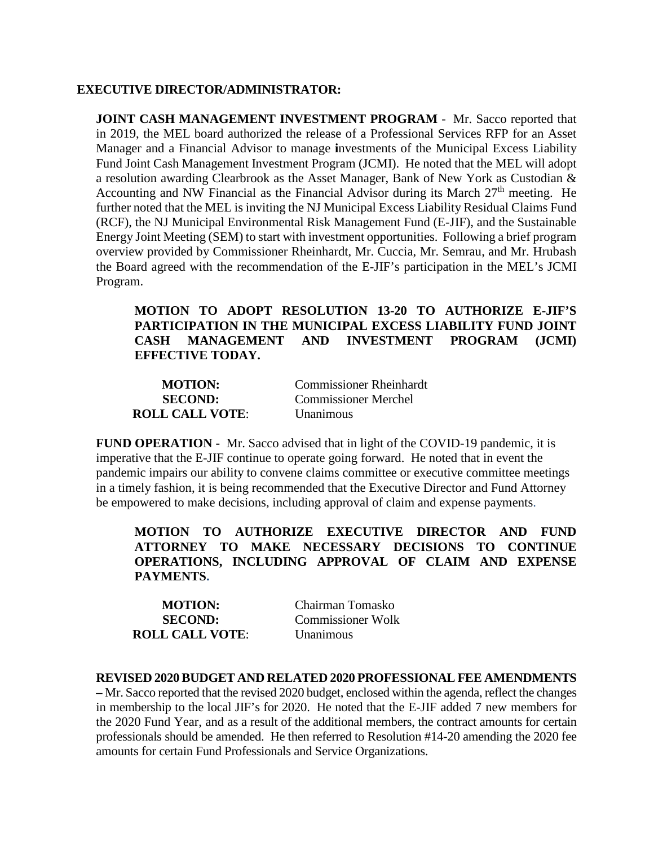## **EXECUTIVE DIRECTOR/ADMINISTRATOR:**

**JOINT CASH MANAGEMENT INVESTMENT PROGRAM** - Mr. Sacco reported that in 2019, the MEL board authorized the release of a Professional Services RFP for an Asset Manager and a Financial Advisor to manage **i**nvestments of the Municipal Excess Liability Fund Joint Cash Management Investment Program (JCMI). He noted that the MEL will adopt a resolution awarding Clearbrook as the Asset Manager, Bank of New York as Custodian & Accounting and NW Financial as the Financial Advisor during its March  $27<sup>th</sup>$  meeting. He further noted that the MEL is inviting the NJ Municipal Excess Liability Residual Claims Fund (RCF), the NJ Municipal Environmental Risk Management Fund (E-JIF), and the Sustainable Energy Joint Meeting (SEM) to start with investment opportunities. Following a brief program overview provided by Commissioner Rheinhardt, Mr. Cuccia, Mr. Semrau, and Mr. Hrubash the Board agreed with the recommendation of the E-JIF's participation in the MEL's JCMI Program.

**MOTION TO ADOPT RESOLUTION 13-20 TO AUTHORIZE E-JIF'S PARTICIPATION IN THE MUNICIPAL EXCESS LIABILITY FUND JOINT CASH MANAGEMENT AND INVESTMENT PROGRAM (JCMI) EFFECTIVE TODAY.**

| <b>MOTION:</b>         | <b>Commissioner Rheinhardt</b> |
|------------------------|--------------------------------|
| <b>SECOND:</b>         | <b>Commissioner Merchel</b>    |
| <b>ROLL CALL VOTE:</b> | <b>Unanimous</b>               |

**FUND OPERATION -** Mr. Sacco advised that in light of the COVID-19 pandemic, it is imperative that the E-JIF continue to operate going forward. He noted that in event the pandemic impairs our ability to convene claims committee or executive committee meetings in a timely fashion, it is being recommended that the Executive Director and Fund Attorney be empowered to make decisions, including approval of claim and expense payments.

**MOTION TO AUTHORIZE EXECUTIVE DIRECTOR AND FUND ATTORNEY TO MAKE NECESSARY DECISIONS TO CONTINUE OPERATIONS, INCLUDING APPROVAL OF CLAIM AND EXPENSE PAYMENTS.**

| <b>MOTION:</b>         | Chairman Tomasko  |
|------------------------|-------------------|
| <b>SECOND:</b>         | Commissioner Wolk |
| <b>ROLL CALL VOTE:</b> | <b>Unanimous</b>  |

**REVISED 2020 BUDGET AND RELATED 2020 PROFESSIONAL FEE AMENDMENTS**

**–** Mr. Sacco reported that the revised 2020 budget, enclosed within the agenda, reflect the changes in membership to the local JIF's for 2020. He noted that the E-JIF added 7 new members for the 2020 Fund Year, and as a result of the additional members, the contract amounts for certain professionals should be amended. He then referred to Resolution #14-20 amending the 2020 fee amounts for certain Fund Professionals and Service Organizations.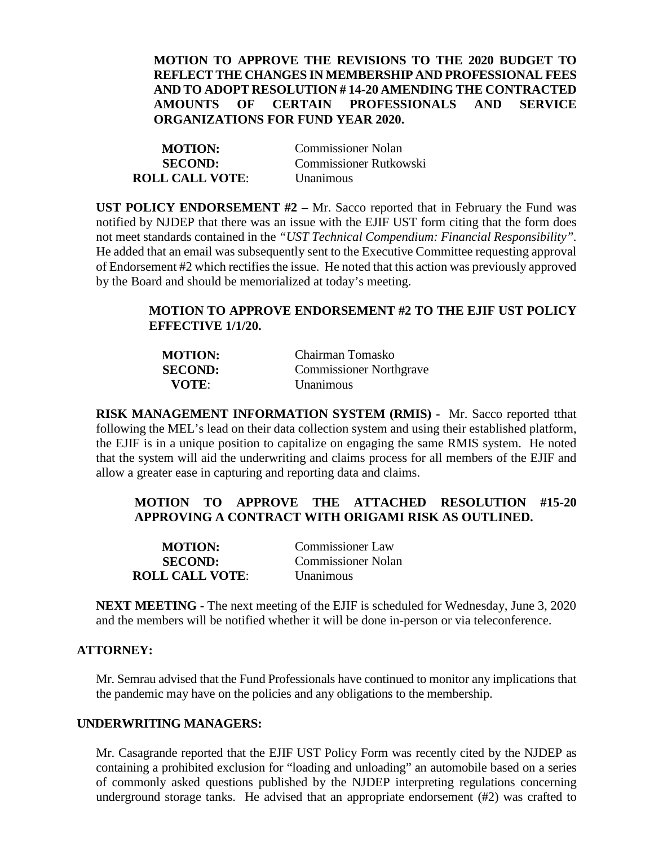## **MOTION TO APPROVE THE REVISIONS TO THE 2020 BUDGET TO REFLECT THE CHANGES IN MEMBERSHIP AND PROFESSIONAL FEES AND TO ADOPT RESOLUTION # 14-20 AMENDING THE CONTRACTED AMOUNTS OF CERTAIN PROFESSIONALS AND SERVICE ORGANIZATIONS FOR FUND YEAR 2020.**

| <b>MOTION:</b>         | <b>Commissioner Nolan</b> |
|------------------------|---------------------------|
| <b>SECOND:</b>         | Commissioner Rutkowski    |
| <b>ROLL CALL VOTE:</b> | <b>Unanimous</b>          |

**UST POLICY ENDORSEMENT #2** – Mr. Sacco reported that in February the Fund was notified by NJDEP that there was an issue with the EJIF UST form citing that the form does not meet standards contained in the *"UST Technical Compendium: Financial Responsibility".*  He added that an email was subsequently sent to the Executive Committee requesting approval of Endorsement #2 which rectifies the issue. He noted that this action was previously approved by the Board and should be memorialized at today's meeting.

# **MOTION TO APPROVE ENDORSEMENT #2 TO THE EJIF UST POLICY EFFECTIVE 1/1/20.**

| <b>MOTION:</b> | Chairman Tomasko               |
|----------------|--------------------------------|
| <b>SECOND:</b> | <b>Commissioner Northgrave</b> |
| VOTE:          | <b>Unanimous</b>               |

**RISK MANAGEMENT INFORMATION SYSTEM (RMIS) -** Mr. Sacco reported tthat following the MEL's lead on their data collection system and using their established platform, the EJIF is in a unique position to capitalize on engaging the same RMIS system. He noted that the system will aid the underwriting and claims process for all members of the EJIF and allow a greater ease in capturing and reporting data and claims.

# **MOTION TO APPROVE THE ATTACHED RESOLUTION #15-20 APPROVING A CONTRACT WITH ORIGAMI RISK AS OUTLINED.**

| <b>MOTION:</b>         | <b>Commissioner Law</b>   |
|------------------------|---------------------------|
| <b>SECOND:</b>         | <b>Commissioner Nolan</b> |
| <b>ROLL CALL VOTE:</b> | <b>Unanimous</b>          |

**NEXT MEETING -** The next meeting of the EJIF is scheduled for Wednesday, June 3, 2020 and the members will be notified whether it will be done in-person or via teleconference.

# **ATTORNEY:**

Mr. Semrau advised that the Fund Professionals have continued to monitor any implications that the pandemic may have on the policies and any obligations to the membership.

## **UNDERWRITING MANAGERS:**

Mr. Casagrande reported that the EJIF UST Policy Form was recently cited by the NJDEP as containing a prohibited exclusion for "loading and unloading" an automobile based on a series of commonly asked questions published by the NJDEP interpreting regulations concerning underground storage tanks. He advised that an appropriate endorsement (#2) was crafted to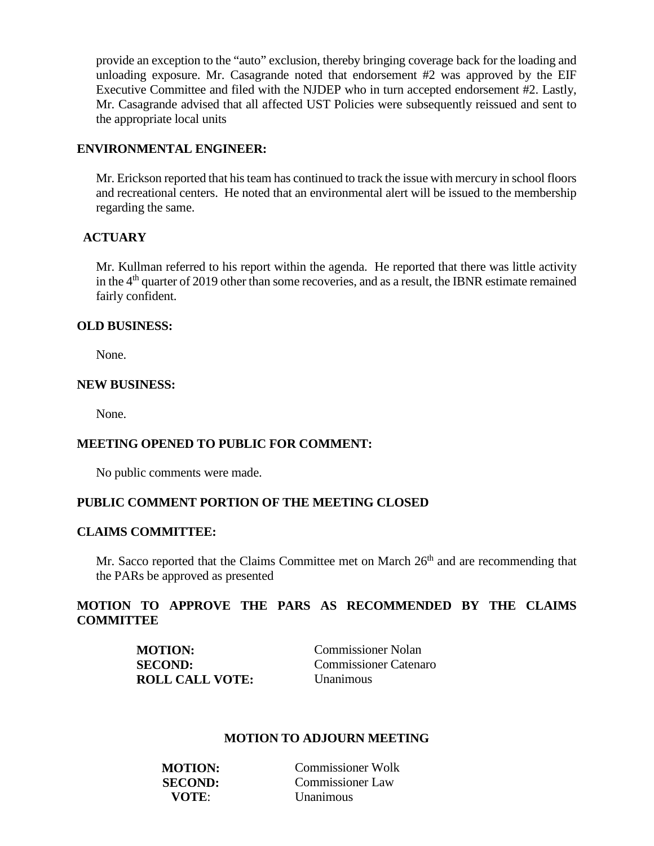provide an exception to the "auto" exclusion, thereby bringing coverage back for the loading and unloading exposure. Mr. Casagrande noted that endorsement #2 was approved by the EIF Executive Committee and filed with the NJDEP who in turn accepted endorsement #2. Lastly, Mr. Casagrande advised that all affected UST Policies were subsequently reissued and sent to the appropriate local units

## **ENVIRONMENTAL ENGINEER:**

Mr. Erickson reported that his team has continued to track the issue with mercury in school floors and recreational centers. He noted that an environmental alert will be issued to the membership regarding the same.

# **ACTUARY**

Mr. Kullman referred to his report within the agenda. He reported that there was little activity in the 4<sup>th</sup> quarter of 2019 other than some recoveries, and as a result, the IBNR estimate remained fairly confident.

### **OLD BUSINESS:**

None.

### **NEW BUSINESS:**

None.

## **MEETING OPENED TO PUBLIC FOR COMMENT:**

No public comments were made.

## **PUBLIC COMMENT PORTION OF THE MEETING CLOSED**

# **CLAIMS COMMITTEE:**

Mr. Sacco reported that the Claims Committee met on March  $26<sup>th</sup>$  and are recommending that the PARs be approved as presented

# **MOTION TO APPROVE THE PARS AS RECOMMENDED BY THE CLAIMS COMMITTEE**

| <b>MOTION:</b>         | <b>Commissioner Nolan</b> |
|------------------------|---------------------------|
| <b>SECOND:</b>         | Commissioner Catenaro     |
| <b>ROLL CALL VOTE:</b> | <b>Unanimous</b>          |

## **MOTION TO ADJOURN MEETING**

| <b>MOTION:</b> | Commissioner Wolk |
|----------------|-------------------|
| <b>SECOND:</b> | Commissioner Law  |
| VOTE:          | <b>Unanimous</b>  |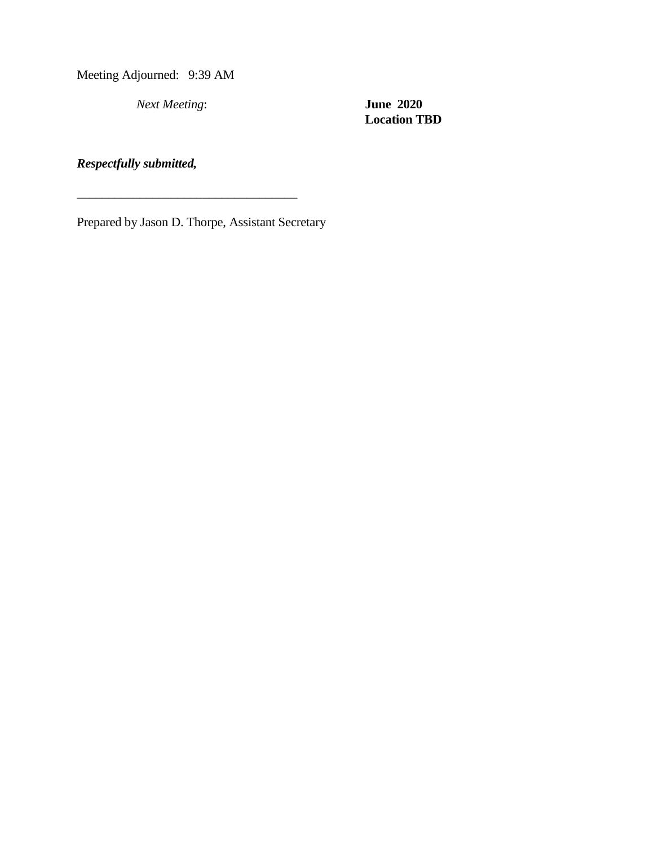Meeting Adjourned: 9:39 AM

*Next Meeting*: **June 2020**

**Location TBD**

*Respectfully submitted,*

Prepared by Jason D. Thorpe, Assistant Secretary

\_\_\_\_\_\_\_\_\_\_\_\_\_\_\_\_\_\_\_\_\_\_\_\_\_\_\_\_\_\_\_\_\_\_\_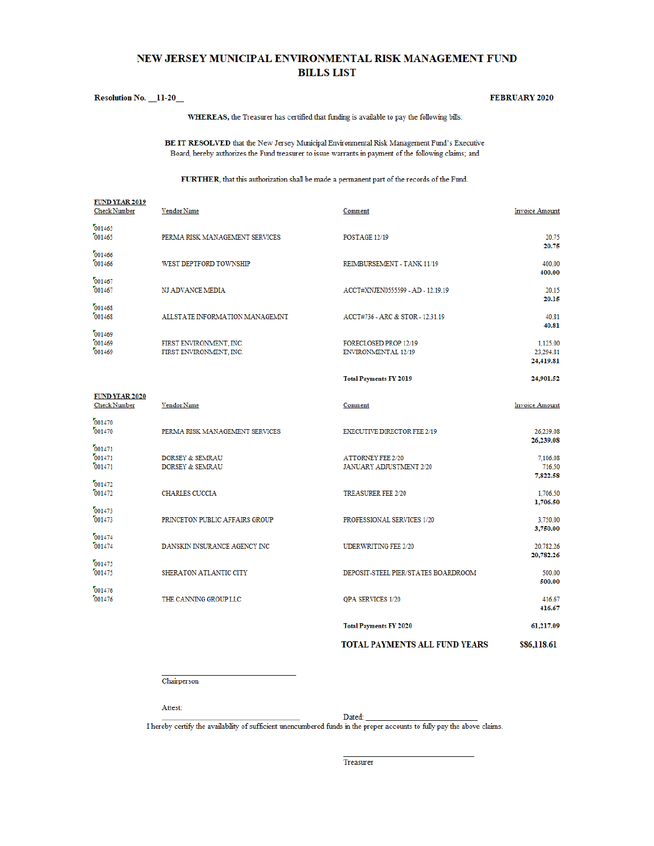## NEW JERSEY MUNICIPAL ENVIRONMENTAL RISK MANAGEMENT FUND **BILLS LIST**

#### Resolution No. 11-20

#### **FEBRUARY 2020**

WHEREAS, the Treasurer has certified that funding is available to pay the following bills:

BE IT RESOLVED that the New Jersey Municipal Environmental Risk Management Fund's Executive Board, hereby authorizes the Fund treasurer to issue warrants in payment of the following claims; and

FURTHER, that this authorization shall be made a permanent part of the records of the Fund.

| <b>FUND YEAR 2019</b><br><b>Check Number</b> | <b>Vendor Name</b>                                       | Comment                                                    | <b>Invoice Amount</b>           |
|----------------------------------------------|----------------------------------------------------------|------------------------------------------------------------|---------------------------------|
| 001465<br>001465                             | PERMA RISK MANAGEMENT SERVICES                           | POSTAGE 12/19                                              | 20.75                           |
| 001466<br>001466                             | WEST DEPTFORD TOWNSHIP                                   | REIMBURSEMENT - TANK 11/19                                 | 20.75<br>400.00                 |
| 001467<br>001467                             | NJ ADVANCE MEDIA                                         | ACCT#XNJEN0555599 - AD - 12.19.19                          | 400.00<br>20.15                 |
| 001468<br>001468                             | ALLSTATE INFORMATION MANAGEMNT                           | ACCT#736 - ARC & STOR - 12.31.19                           | 20.15<br>40.81                  |
| 001469<br>001469                             | FIRST ENVIRONMENT, INC.                                  | FORECLOSED PROP 12/19                                      | 40.81<br>1,125.00               |
| 001469                                       | FIRST ENVIRONMENT, INC.                                  | <b>ENVIRONMENTAL 12/19</b>                                 | 23,294.81<br>24,419.81          |
|                                              |                                                          | <b>Total Payments FY 2019</b>                              | 24,901.52                       |
| <b>FUND YEAR 2020</b><br><b>Check Number</b> | Vendor Name                                              | Comment                                                    | <b>Invoice Amount</b>           |
| 001470<br>001470                             | PERMA RISK MANAGEMENT SERVICES                           | <b>EXECUTIVE DIRECTOR FEE 2/19</b>                         | 26,239.08                       |
| 001471<br>001471<br>001471                   | <b>DORSEY &amp; SEMRAU</b><br><b>DORSEY &amp; SEMRAU</b> | <b>ATTORNEY FEE 2/20</b><br><b>JANUARY ADJUSTMENT 2/20</b> | 26,239.08<br>7,106.08<br>716.50 |
| 001472<br>001472                             | <b>CHARLES CUCCIA</b>                                    | <b>TREASURER FEE 2/20</b>                                  | 7,822.58<br>1,706.50            |
| 001473<br>001473                             | PRINCETON PUBLIC AFFAIRS GROUP                           | PROFESSIONAL SERVICES 1/20                                 | 1,706.50<br>3,750.00            |
| 001474<br>001474                             | DANSKIN INSURANCE AGENCY INC                             | <b>UDERWRITING FEE 2/20</b>                                | 3,750.00<br>20,782.26           |
| 001475<br>001475                             | SHERATON ATLANTIC CITY                                   | DEPOSIT-STEEL PIER/STATES BOARDROOM                        | 20,782.26<br>500.00             |
| 001476                                       |                                                          |                                                            | 500.00                          |
| 001476                                       | THE CANNING GROUP LLC                                    | QPA SERVICES 1/20                                          | 416.67<br>416.67                |
|                                              |                                                          | <b>Total Payments FY 2020</b>                              | 61,217.09                       |
|                                              |                                                          | <b>TOTAL PAYMENTS ALL FUND YEARS</b>                       | \$86,118.61                     |

Chairperson

Attest:

Dated:

I hereby certify the availability of sufficient unencumbered funds in the proper accounts to fully pay the above claims.

Treasurer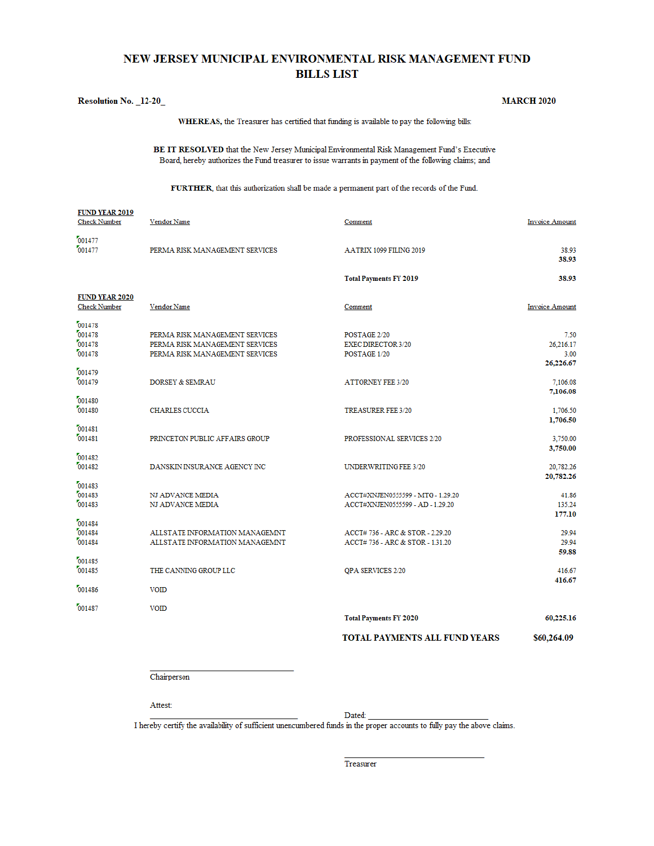## NEW JERSEY MUNICIPAL ENVIRONMENTAL RISK MANAGEMENT FUND **BILLS LIST**

#### Resolution No. \_12-20\_

#### **MARCH 2020**

WHEREAS, the Treasurer has certified that funding is available to pay the following bills:

BE IT RESOLVED that the New Jersey Municipal Environmental Risk Management Fund's Executive Board, hereby authorizes the Fund treasurer to issue warrants in payment of the following claims; and

#### FURTHER, that this authorization shall be made a permanent part of the records of the Fund.

| <b>FUND YEAR 2019</b><br><b>Check Number</b> | Vendor Name                                                                                        | Comment                                                               | <b>Invoice Amount</b>                  |
|----------------------------------------------|----------------------------------------------------------------------------------------------------|-----------------------------------------------------------------------|----------------------------------------|
| 001477<br>001477                             | PERMA RISK MANAGEMENT SERVICES                                                                     | AATRIX 1099 FILING 2019                                               | 38.93<br>38.93                         |
|                                              |                                                                                                    | <b>Total Payments FY 2019</b>                                         | 38.93                                  |
| <b>FUND YEAR 2020</b><br><b>Check Number</b> | Vendor Name                                                                                        | Comment                                                               | <b>Invoice Amount</b>                  |
| 001478<br>001478<br>001478<br>001478         | PERMA RISK MANAGEMENT SERVICES<br>PERMA RISK MANAGEMENT SERVICES<br>PERMA RISK MANAGEMENT SERVICES | POSTAGE 2/20<br><b>EXEC DIRECTOR 3/20</b><br>POSTAGE 1/20             | 7.50<br>26.216.17<br>3.00<br>26,226.67 |
| 001479<br>001479                             | <b>DORSEY &amp; SEMRAU</b>                                                                         | <b>ATTORNEY FEE 3/20</b>                                              | 7,106.08<br>7,106.08                   |
| 001480<br>001480                             | <b>CHARLES CUCCIA</b>                                                                              | <b>TREASURER FEE 3/20</b>                                             | 1,706.50<br>1,706.50                   |
| 001481<br>001481                             | PRINCETON PUBLIC AFFAIRS GROUP                                                                     | PROFESSIONAL SERVICES 2/20                                            | 3,750.00<br>3,750.00                   |
| 001482<br>001482                             | DANSKIN INSURANCE AGENCY INC                                                                       | UNDERWRITING FEE 3/20                                                 | 20,782.26<br>20,782.26                 |
| 001483<br>001483<br>001483                   | NJ ADVANCE MEDIA<br>NJ ADVANCE MEDIA                                                               | ACCT#XNJEN0555599 - MTG - 1.29.20<br>ACCT#XNJEN0555599 - AD - 1.29.20 | 41.86<br>135.24<br>177.10              |
| 001484<br>001484<br>001484                   | ALLSTATE INFORMATION MANAGEMNT<br>ALLSTATE INFORMATION MANAGEMNT                                   | ACCT#736 - ARC & STOR - 2.29.20<br>ACCT#736 - ARC & STOR - 1.31.20    | 29.94<br>29.94<br>59.88                |
| 001485<br>001485                             | THE CANNING GROUP LLC                                                                              | QPA SERVICES 2/20                                                     | 416.67                                 |
| 001486                                       | <b>VOID</b>                                                                                        |                                                                       | 416.67                                 |
| 001487                                       | <b>VOID</b>                                                                                        | <b>Total Payments FY 2020</b>                                         | 60,225.16                              |
|                                              |                                                                                                    | <b>TOTAL PAYMENTS ALL FUND YEARS</b>                                  | \$60,264.09                            |

Chairperson

Attest:

Dated:

I hereby certify the availability of sufficient unencumbered funds in the proper accounts to fully pay the above claims.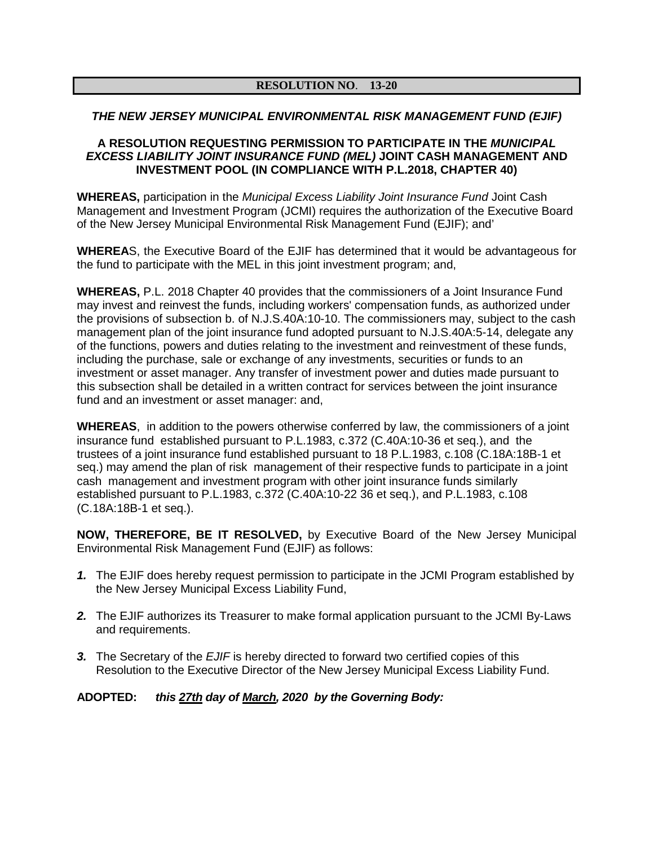## **RESOLUTION NO**. **13-20**

#### *THE NEW JERSEY MUNICIPAL ENVIRONMENTAL RISK MANAGEMENT FUND (EJIF)*

#### **A RESOLUTION REQUESTING PERMISSION TO PARTICIPATE IN THE** *MUNICIPAL EXCESS LIABILITY JOINT INSURANCE FUND (MEL)* **JOINT CASH MANAGEMENT AND INVESTMENT POOL (IN COMPLIANCE WITH P.L.2018, CHAPTER 40)**

**WHEREAS,** participation in the *Municipal Excess Liability Joint Insurance Fund* Joint Cash Management and Investment Program (JCMI) requires the authorization of the Executive Board of the New Jersey Municipal Environmental Risk Management Fund (EJIF); and'

**WHEREA**S, the Executive Board of the EJIF has determined that it would be advantageous for the fund to participate with the MEL in this joint investment program; and,

**WHEREAS,** P.L. 2018 Chapter 40 provides that the commissioners of a Joint Insurance Fund may invest and reinvest the funds, including workers' compensation funds, as authorized under the provisions of subsection b. of N.J.S.40A:10-10. The commissioners may, subject to the cash management plan of the joint insurance fund adopted pursuant to N.J.S.40A:5-14, delegate any of the functions, powers and duties relating to the investment and reinvestment of these funds, including the purchase, sale or exchange of any investments, securities or funds to an investment or asset manager. Any transfer of investment power and duties made pursuant to this subsection shall be detailed in a written contract for services between the joint insurance fund and an investment or asset manager: and,

**WHEREAS**, in addition to the powers otherwise conferred by law, the commissioners of a joint insurance fund established pursuant to P.L.1983, c.372 (C.40A:10-36 et seq.), and the trustees of a joint insurance fund established pursuant to 18 P.L.1983, c.108 (C.18A:18B-1 et seq.) may amend the plan of risk management of their respective funds to participate in a joint cash management and investment program with other joint insurance funds similarly established pursuant to P.L.1983, c.372 (C.40A:10-22 36 et seq.), and P.L.1983, c.108 (C.18A:18B-1 et seq.).

**NOW, THEREFORE, BE IT RESOLVED,** by Executive Board of the New Jersey Municipal Environmental Risk Management Fund (EJIF) as follows:

- *1.* The EJIF does hereby request permission to participate in the JCMI Program established by the New Jersey Municipal Excess Liability Fund,
- *2.* The EJIF authorizes its Treasurer to make formal application pursuant to the JCMI By-Laws and requirements.
- *3.* The Secretary of the *EJIF* is hereby directed to forward two certified copies of this Resolution to the Executive Director of the New Jersey Municipal Excess Liability Fund.

#### **ADOPTED:** *this 27th day of March, 2020 by the Governing Body:*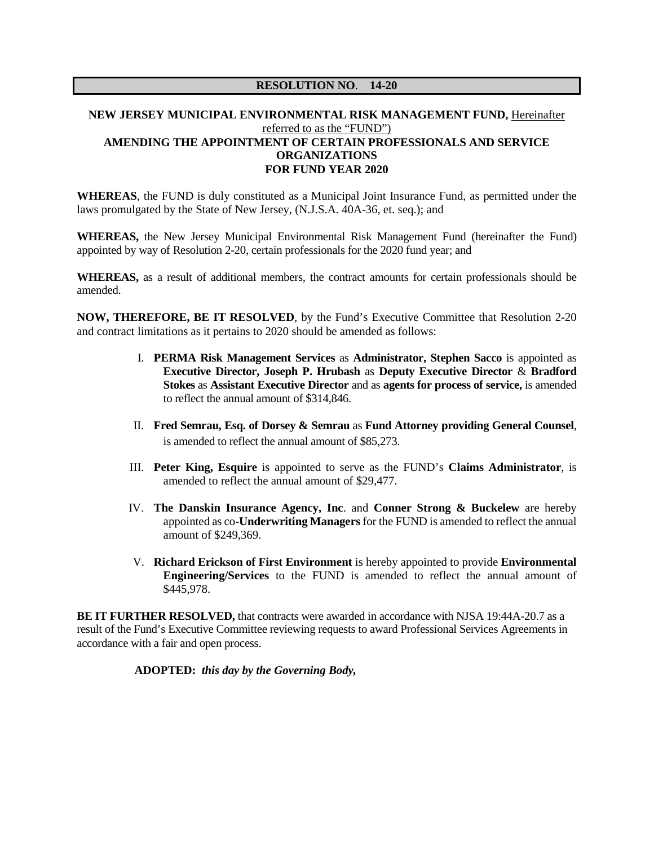### **NEW JERSEY MUNICIPAL ENVIRONMENTAL RISK MANAGEMENT FUND,** Hereinafter referred to as the "FUND") **AMENDING THE APPOINTMENT OF CERTAIN PROFESSIONALS AND SERVICE ORGANIZATIONS FOR FUND YEAR 2020**

**WHEREAS**, the FUND is duly constituted as a Municipal Joint Insurance Fund, as permitted under the laws promulgated by the State of New Jersey, (N.J.S.A. 40A-36, et. seq.); and

**WHEREAS,** the New Jersey Municipal Environmental Risk Management Fund (hereinafter the Fund) appointed by way of Resolution 2-20, certain professionals for the 2020 fund year; and

**WHEREAS,** as a result of additional members, the contract amounts for certain professionals should be amended.

**NOW, THEREFORE, BE IT RESOLVED**, by the Fund's Executive Committee that Resolution 2-20 and contract limitations as it pertains to 2020 should be amended as follows:

- I. **PERMA Risk Management Services** as **Administrator, Stephen Sacco** is appointed as **Executive Director, Joseph P. Hrubash** as **Deputy Executive Director** & **Bradford Stokes** as **Assistant Executive Director** and as **agents for process of service,** is amended to reflect the annual amount of \$314,846.
- II. **Fred Semrau, Esq. of Dorsey & Semrau** as **Fund Attorney providing General Counsel**, is amended to reflect the annual amount of \$85,273.
- III. **Peter King, Esquire** is appointed to serve as the FUND's **Claims Administrator**, is amended to reflect the annual amount of \$29,477.
- IV. **The Danskin Insurance Agency, Inc**. and **Conner Strong & Buckelew** are hereby appointed as co-**Underwriting Managers** for the FUND is amended to reflect the annual amount of \$249,369.
- V. **Richard Erickson of First Environment** is hereby appointed to provide **Environmental Engineering/Services** to the FUND is amended to reflect the annual amount of \$445,978.

**BE IT FURTHER RESOLVED, that contracts were awarded in accordance with NJSA 19:44A-20.7 as a** result of the Fund's Executive Committee reviewing requests to award Professional Services Agreements in accordance with a fair and open process.

**ADOPTED:** *this day by the Governing Body,*